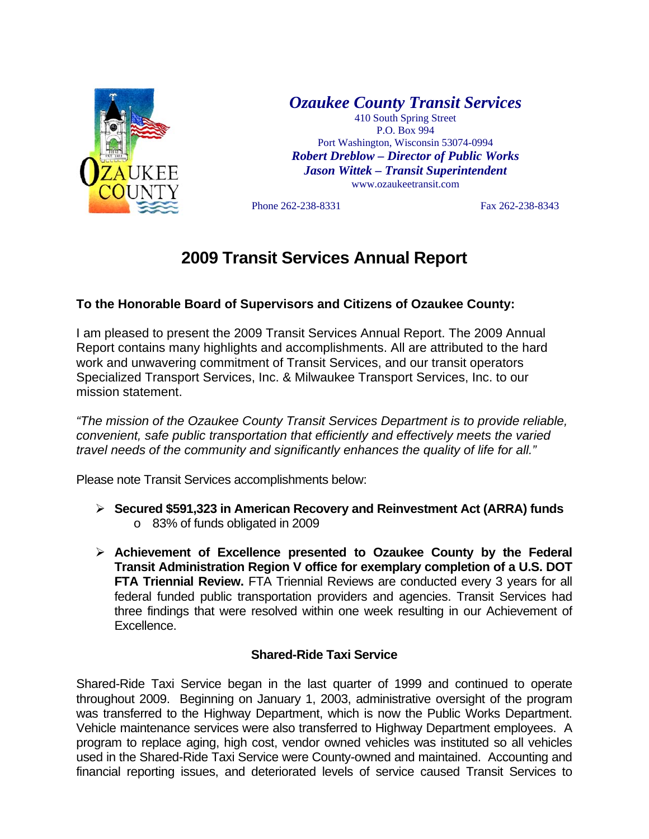

*Ozaukee County Transit Services* 

410 South Spring Street P.O. Box 994 Port Washington, Wisconsin 53074-0994 *Robert Dreblow – Director of Public Works Jason Wittek – Transit Superintendent* www.ozaukeetransit.com

Phone 262-238-8331 Fax 262-238-8343

## **2009 Transit Services Annual Report**

## **To the Honorable Board of Supervisors and Citizens of Ozaukee County:**

I am pleased to present the 2009 Transit Services Annual Report. The 2009 Annual Report contains many highlights and accomplishments. All are attributed to the hard work and unwavering commitment of Transit Services, and our transit operators Specialized Transport Services, Inc. & Milwaukee Transport Services, Inc. to our mission statement.

*"The mission of the Ozaukee County Transit Services Department is to provide reliable, convenient, safe public transportation that efficiently and effectively meets the varied travel needs of the community and significantly enhances the quality of life for all."* 

Please note Transit Services accomplishments below:

- ¾ **Secured \$591,323 in American Recovery and Reinvestment Act (ARRA) funds** o 83% of funds obligated in 2009
- ¾ **Achievement of Excellence presented to Ozaukee County by the Federal Transit Administration Region V office for exemplary completion of a U.S. DOT FTA Triennial Review.** FTA Triennial Reviews are conducted every 3 years for all federal funded public transportation providers and agencies. Transit Services had three findings that were resolved within one week resulting in our Achievement of Excellence.

## **Shared-Ride Taxi Service**

Shared-Ride Taxi Service began in the last quarter of 1999 and continued to operate throughout 2009. Beginning on January 1, 2003, administrative oversight of the program was transferred to the Highway Department, which is now the Public Works Department. Vehicle maintenance services were also transferred to Highway Department employees. A program to replace aging, high cost, vendor owned vehicles was instituted so all vehicles used in the Shared-Ride Taxi Service were County-owned and maintained. Accounting and financial reporting issues, and deteriorated levels of service caused Transit Services to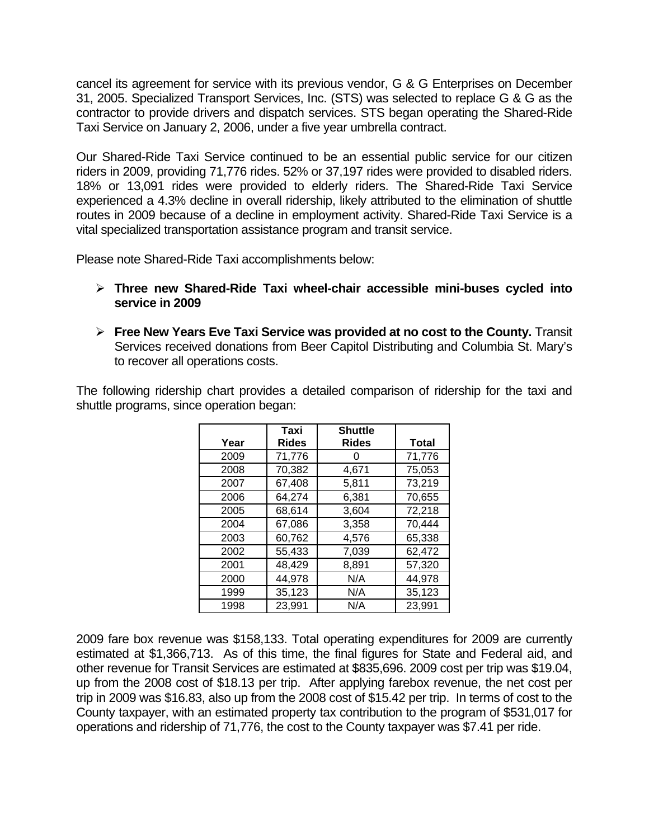cancel its agreement for service with its previous vendor, G & G Enterprises on December 31, 2005. Specialized Transport Services, Inc. (STS) was selected to replace G & G as the contractor to provide drivers and dispatch services. STS began operating the Shared-Ride Taxi Service on January 2, 2006, under a five year umbrella contract.

Our Shared-Ride Taxi Service continued to be an essential public service for our citizen riders in 2009, providing 71,776 rides. 52% or 37,197 rides were provided to disabled riders. 18% or 13,091 rides were provided to elderly riders. The Shared-Ride Taxi Service experienced a 4.3% decline in overall ridership, likely attributed to the elimination of shuttle routes in 2009 because of a decline in employment activity. Shared-Ride Taxi Service is a vital specialized transportation assistance program and transit service.

Please note Shared-Ride Taxi accomplishments below:

- ¾ **Three new Shared-Ride Taxi wheel-chair accessible mini-buses cycled into service in 2009**
- ¾ **Free New Years Eve Taxi Service was provided at no cost to the County.** Transit Services received donations from Beer Capitol Distributing and Columbia St. Mary's to recover all operations costs.

The following ridership chart provides a detailed comparison of ridership for the taxi and shuttle programs, since operation began:

| Year | Taxi<br><b>Rides</b> | <b>Shuttle</b><br><b>Rides</b> | <b>Total</b> |
|------|----------------------|--------------------------------|--------------|
| 2009 | 71,776               |                                | 71,776       |
| 2008 | 70,382               | 4,671                          | 75,053       |
| 2007 | 67,408               | 5,811                          | 73,219       |
| 2006 | 64,274               | 6,381                          | 70,655       |
| 2005 | 68,614               | 3,604                          | 72,218       |
| 2004 | 67,086               | 3,358                          | 70,444       |
| 2003 | 60,762               | 4,576                          | 65,338       |
| 2002 | 55,433               | 7,039                          | 62,472       |
| 2001 | 48,429               | 8,891                          | 57,320       |
| 2000 | 44,978               | N/A                            | 44,978       |
| 1999 | 35,123               | N/A                            | 35,123       |
| 1998 | 23,991               | N/A                            | 23,991       |

2009 fare box revenue was \$158,133. Total operating expenditures for 2009 are currently estimated at \$1,366,713. As of this time, the final figures for State and Federal aid, and other revenue for Transit Services are estimated at \$835,696. 2009 cost per trip was \$19.04, up from the 2008 cost of \$18.13 per trip. After applying farebox revenue, the net cost per trip in 2009 was \$16.83, also up from the 2008 cost of \$15.42 per trip. In terms of cost to the County taxpayer, with an estimated property tax contribution to the program of \$531,017 for operations and ridership of 71,776, the cost to the County taxpayer was \$7.41 per ride.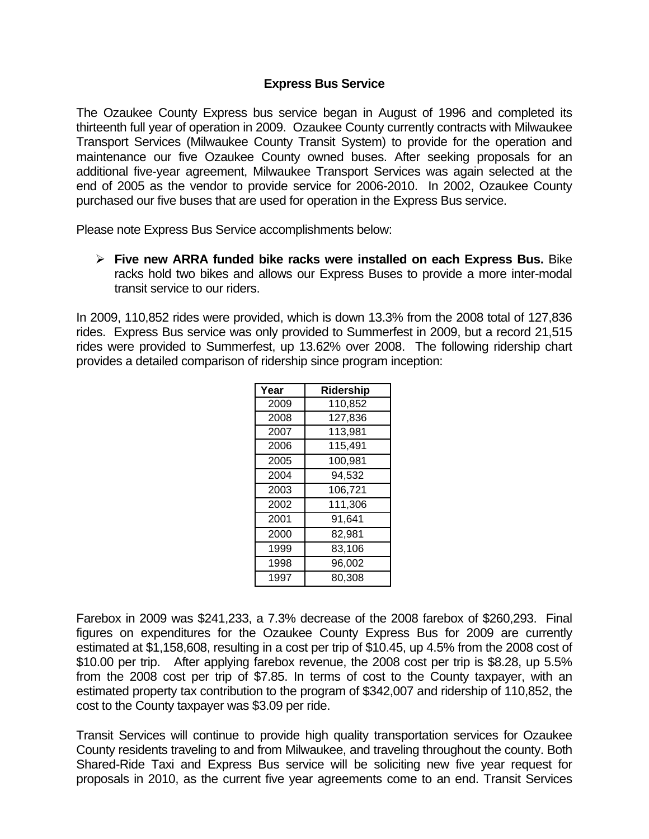## **Express Bus Service**

The Ozaukee County Express bus service began in August of 1996 and completed its thirteenth full year of operation in 2009. Ozaukee County currently contracts with Milwaukee Transport Services (Milwaukee County Transit System) to provide for the operation and maintenance our five Ozaukee County owned buses. After seeking proposals for an additional five-year agreement, Milwaukee Transport Services was again selected at the end of 2005 as the vendor to provide service for 2006-2010. In 2002, Ozaukee County purchased our five buses that are used for operation in the Express Bus service.

Please note Express Bus Service accomplishments below:

¾ **Five new ARRA funded bike racks were installed on each Express Bus.** Bike racks hold two bikes and allows our Express Buses to provide a more inter-modal transit service to our riders.

In 2009, 110,852 rides were provided, which is down 13.3% from the 2008 total of 127,836 rides. Express Bus service was only provided to Summerfest in 2009, but a record 21,515 rides were provided to Summerfest, up 13.62% over 2008. The following ridership chart provides a detailed comparison of ridership since program inception:

| Year | Ridership |
|------|-----------|
| 2009 | 110,852   |
| 2008 | 127,836   |
| 2007 | 113,981   |
| 2006 | 115,491   |
| 2005 | 100,981   |
| 2004 | 94,532    |
| 2003 | 106,721   |
| 2002 | 111,306   |
| 2001 | 91,641    |
| 2000 | 82,981    |
| 1999 | 83,106    |
| 1998 | 96,002    |
| 1997 | 80,308    |

Farebox in 2009 was \$241,233, a 7.3% decrease of the 2008 farebox of \$260,293. Final figures on expenditures for the Ozaukee County Express Bus for 2009 are currently estimated at \$1,158,608, resulting in a cost per trip of \$10.45, up 4.5% from the 2008 cost of \$10.00 per trip. After applying farebox revenue, the 2008 cost per trip is \$8.28, up 5.5% from the 2008 cost per trip of \$7.85. In terms of cost to the County taxpayer, with an estimated property tax contribution to the program of \$342,007 and ridership of 110,852, the cost to the County taxpayer was \$3.09 per ride.

Transit Services will continue to provide high quality transportation services for Ozaukee County residents traveling to and from Milwaukee, and traveling throughout the county. Both Shared-Ride Taxi and Express Bus service will be soliciting new five year request for proposals in 2010, as the current five year agreements come to an end. Transit Services